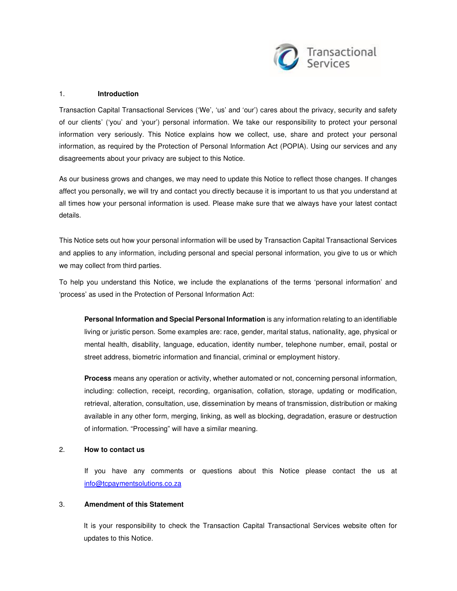

#### 1. **Introduction**

Transaction Capital Transactional Services ('We', 'us' and 'our') cares about the privacy, security and safety of our clients' ('you' and 'your') personal information. We take our responsibility to protect your personal information very seriously. This Notice explains how we collect, use, share and protect your personal information, as required by the Protection of Personal Information Act (POPIA). Using our services and any disagreements about your privacy are subject to this Notice.

As our business grows and changes, we may need to update this Notice to reflect those changes. If changes affect you personally, we will try and contact you directly because it is important to us that you understand at all times how your personal information is used. Please make sure that we always have your latest contact details.

This Notice sets out how your personal information will be used by Transaction Capital Transactional Services and applies to any information, including personal and special personal information, you give to us or which we may collect from third parties.

To help you understand this Notice, we include the explanations of the terms 'personal information' and 'process' as used in the Protection of Personal Information Act:

**Personal Information and Special Personal Information** is any information relating to an identifiable living or juristic person. Some examples are: race, gender, marital status, nationality, age, physical or mental health, disability, language, education, identity number, telephone number, email, postal or street address, biometric information and financial, criminal or employment history.

**Process** means any operation or activity, whether automated or not, concerning personal information, including: collection, receipt, recording, organisation, collation, storage, updating or modification, retrieval, alteration, consultation, use, dissemination by means of transmission, distribution or making available in any other form, merging, linking, as well as blocking, degradation, erasure or destruction of information. "Processing" will have a similar meaning.

# 2. **How to contact us**

If you have any comments or questions about this Notice please contact the us at info@tcpaymentsolutions.co.za

### 3. **Amendment of this Statement**

It is your responsibility to check the Transaction Capital Transactional Services website often for updates to this Notice.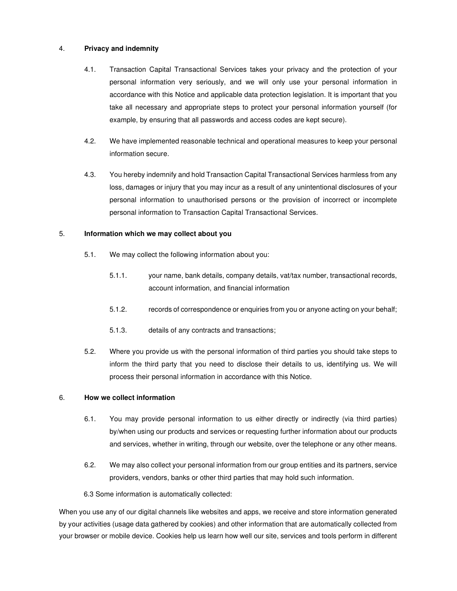# 4. **Privacy and indemnity**

- 4.1. Transaction Capital Transactional Services takes your privacy and the protection of your personal information very seriously, and we will only use your personal information in accordance with this Notice and applicable data protection legislation. It is important that you take all necessary and appropriate steps to protect your personal information yourself (for example, by ensuring that all passwords and access codes are kept secure).
- 4.2. We have implemented reasonable technical and operational measures to keep your personal information secure.
- 4.3. You hereby indemnify and hold Transaction Capital Transactional Services harmless from any loss, damages or injury that you may incur as a result of any unintentional disclosures of your personal information to unauthorised persons or the provision of incorrect or incomplete personal information to Transaction Capital Transactional Services.

# 5. **Information which we may collect about you**

- 5.1. We may collect the following information about you:
	- 5.1.1. your name, bank details, company details, vat/tax number, transactional records, account information, and financial information
	- 5.1.2. records of correspondence or enquiries from you or anyone acting on your behalf;
	- 5.1.3. details of any contracts and transactions;
- 5.2. Where you provide us with the personal information of third parties you should take steps to inform the third party that you need to disclose their details to us, identifying us. We will process their personal information in accordance with this Notice.

# 6. **How we collect information**

- 6.1. You may provide personal information to us either directly or indirectly (via third parties) by/when using our products and services or requesting further information about our products and services, whether in writing, through our website, over the telephone or any other means.
- 6.2. We may also collect your personal information from our group entities and its partners, service providers, vendors, banks or other third parties that may hold such information.

6.3 Some information is automatically collected:

When you use any of our digital channels like websites and apps, we receive and store information generated by your activities (usage data gathered by cookies) and other information that are automatically collected from your browser or mobile device. Cookies help us learn how well our site, services and tools perform in different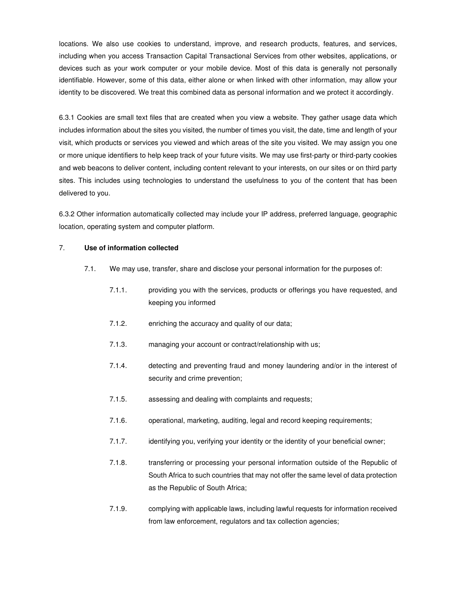locations. We also use cookies to understand, improve, and research products, features, and services, including when you access Transaction Capital Transactional Services from other websites, applications, or devices such as your work computer or your mobile device. Most of this data is generally not personally identifiable. However, some of this data, either alone or when linked with other information, may allow your identity to be discovered. We treat this combined data as personal information and we protect it accordingly.

6.3.1 Cookies are small text files that are created when you view a website. They gather usage data which includes information about the sites you visited, the number of times you visit, the date, time and length of your visit, which products or services you viewed and which areas of the site you visited. We may assign you one or more unique identifiers to help keep track of your future visits. We may use first-party or third-party cookies and web beacons to deliver content, including content relevant to your interests, on our sites or on third party sites. This includes using technologies to understand the usefulness to you of the content that has been delivered to you.

6.3.2 Other information automatically collected may include your IP address, preferred language, geographic location, operating system and computer platform.

#### 7. **Use of information collected**

- 7.1. We may use, transfer, share and disclose your personal information for the purposes of:
	- 7.1.1. providing you with the services, products or offerings you have requested, and keeping you informed
	- 7.1.2. enriching the accuracy and quality of our data;
	- 7.1.3. managing your account or contract/relationship with us;
	- 7.1.4. detecting and preventing fraud and money laundering and/or in the interest of security and crime prevention;
	- 7.1.5. assessing and dealing with complaints and requests;
	- 7.1.6. operational, marketing, auditing, legal and record keeping requirements;
	- 7.1.7. identifying you, verifying your identity or the identity of your beneficial owner;
	- 7.1.8. transferring or processing your personal information outside of the Republic of South Africa to such countries that may not offer the same level of data protection as the Republic of South Africa;
	- 7.1.9. complying with applicable laws, including lawful requests for information received from law enforcement, regulators and tax collection agencies;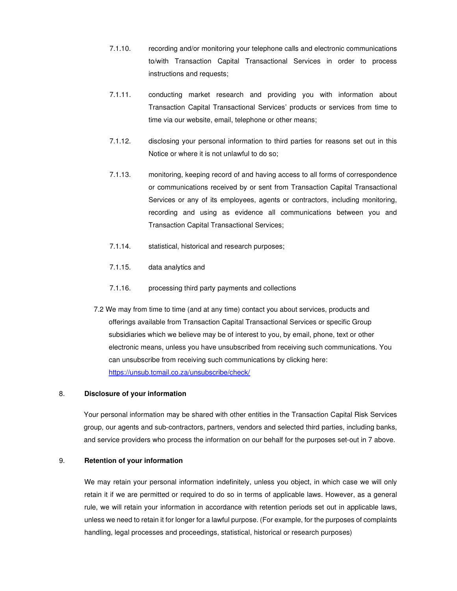- 7.1.10. recording and/or monitoring your telephone calls and electronic communications to/with Transaction Capital Transactional Services in order to process instructions and requests;
- 7.1.11. conducting market research and providing you with information about Transaction Capital Transactional Services' products or services from time to time via our website, email, telephone or other means;
- 7.1.12. disclosing your personal information to third parties for reasons set out in this Notice or where it is not unlawful to do so;
- 7.1.13. monitoring, keeping record of and having access to all forms of correspondence or communications received by or sent from Transaction Capital Transactional Services or any of its employees, agents or contractors, including monitoring, recording and using as evidence all communications between you and Transaction Capital Transactional Services;
- 7.1.14. statistical, historical and research purposes;
- 7.1.15. data analytics and
- 7.1.16. processing third party payments and collections
- 7.2 We may from time to time (and at any time) contact you about services, products and offerings available from Transaction Capital Transactional Services or specific Group subsidiaries which we believe may be of interest to you, by email, phone, text or other electronic means, unless you have unsubscribed from receiving such communications. You can unsubscribe from receiving such communications by clicking here: https://unsub.tcmail.co.za/unsubscribe/check/

# 8. **Disclosure of your information**

Your personal information may be shared with other entities in the Transaction Capital Risk Services group, our agents and sub-contractors, partners, vendors and selected third parties, including banks, and service providers who process the information on our behalf for the purposes set-out in 7 above.

#### 9. **Retention of your information**

We may retain your personal information indefinitely, unless you object, in which case we will only retain it if we are permitted or required to do so in terms of applicable laws. However, as a general rule, we will retain your information in accordance with retention periods set out in applicable laws, unless we need to retain it for longer for a lawful purpose. (For example, for the purposes of complaints handling, legal processes and proceedings, statistical, historical or research purposes)